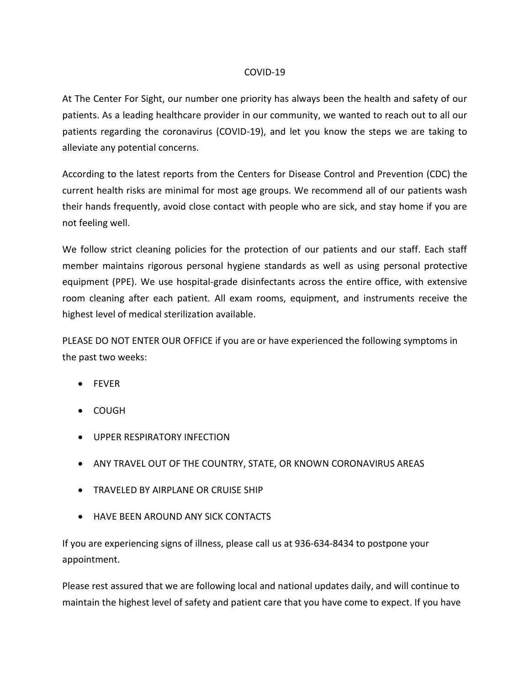## COVID-19

At The Center For Sight, our number one priority has always been the health and safety of our patients. As a leading healthcare provider in our community, we wanted to reach out to all our patients regarding the coronavirus (COVID-19), and let you know the steps we are taking to alleviate any potential concerns.

According to the latest reports from the Centers for Disease Control and Prevention (CDC) the current health risks are minimal for most age groups. We recommend all of our patients wash their hands frequently, avoid close contact with people who are sick, and stay home if you are not feeling well.

We follow strict cleaning policies for the protection of our patients and our staff. Each staff member maintains rigorous personal hygiene standards as well as using personal protective equipment (PPE). We use hospital-grade disinfectants across the entire office, with extensive room cleaning after each patient. All exam rooms, equipment, and instruments receive the highest level of medical sterilization available.

PLEASE DO NOT ENTER OUR OFFICE if you are or have experienced the following symptoms in the past two weeks:

- FEVER
- COUGH
- UPPER RESPIRATORY INFECTION
- ANY TRAVEL OUT OF THE COUNTRY, STATE, OR KNOWN CORONAVIRUS AREAS
- TRAVELED BY AIRPLANE OR CRUISE SHIP
- HAVE BEEN AROUND ANY SICK CONTACTS

If you are experiencing signs of illness, please call us at 936-634-8434 to postpone your appointment.

Please rest assured that we are following local and national updates daily, and will continue to maintain the highest level of safety and patient care that you have come to expect. If you have